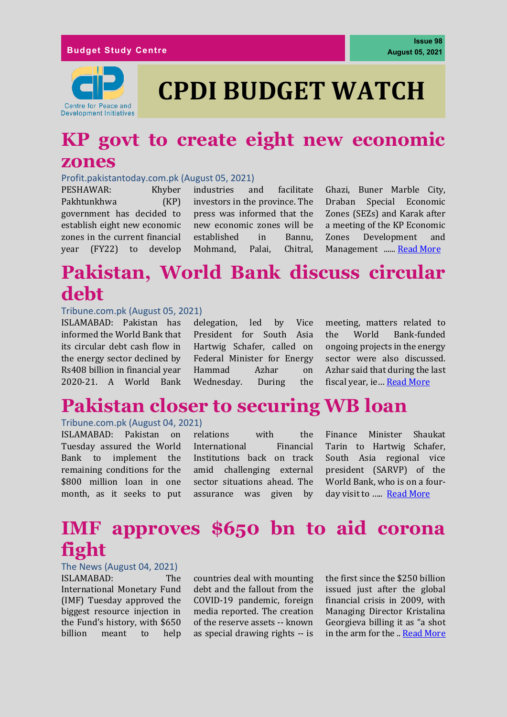

**Issue 98**

# **CPDI BUDGET WATCH**

### **KP govt to create eight new economic zones**

#### Profit.pakistantoday.com.pk (August 05, 2021)

PESHAWAR: Khyber Pakhtunkhwa (KP) government has decided to establish eight new economic zones in the current financial year (FY22) to develop

industries and facilitate investors in the province. The press was informed that the new economic zones will be established in Bannu, Mohmand, Palai, Chitral, Ghazi, Buner Marble City, Draban Special Economic Zones (SEZs) and Karak after a meeting of the KP Economic Zones Development and Management ...... [Read More](https://profit.pakistantoday.com.pk/2021/08/05/kp-govt-to-create-eight-new-economic-zones/)

# **Pakistan, World Bank discuss circular debt**

#### Tribune.com.pk (August 05, 2021)

ISLAMABAD: Pakistan has informed the World Bank that its circular debt cash flow in the energy sector declined by Rs408 billion in financial year 2020-21. A World Bank

delegation, led by Vice President for South Asia Hartwig Schafer, called on Federal Minister for Energy Hammad Azhar on Wednesday. During the meeting, matters related to the World Bank-funded ongoing projects in the energy sector were also discussed. Azhar said that during the last fiscal year, ie… [Read More](https://tribune.com.pk/story/2313939/pakistan-world-bank-discuss-circular-debt)

### **Pakistan closer to securing WB loan**

#### Tribune.com.pk (August 04, 2021)

ISLAMABAD: Pakistan on Tuesday assured the World Bank to implement the remaining conditions for the \$800 million loan in one month, as it seeks to put

relations with the International Financial Institutions back on track amid challenging external sector situations ahead. The assurance was given by Finance Minister Shaukat Tarin to Hartwig Schafer, South Asia regional vice president (SARVP) of the World Bank, who is on a four-day visit to ..... [Read More](https://tribune.com.pk/story/2313818/pakistan-closer-to-securing-wb-loan)

# **IMF approves \$650 bn to aid corona fight**

### The News (August 04, 2021)

ISLAMABAD: The International Monetary Fund (IMF) Tuesday approved the biggest resource injection in the Fund's history, with \$650 billion meant to help

countries deal with mounting debt and the fallout from the COVID-19 pandemic, foreign media reported. The creation of the reserve assets -- known as special drawing rights -- is the first since the \$250 billion issued just after the global financial crisis in 2009, with Managing Director Kristalina Georgieva billing it as "a shot in the arm for the .. [Read More](https://www.thenews.com.pk/print/872993-imf-approves-650-bn-to-aid-corona-fight)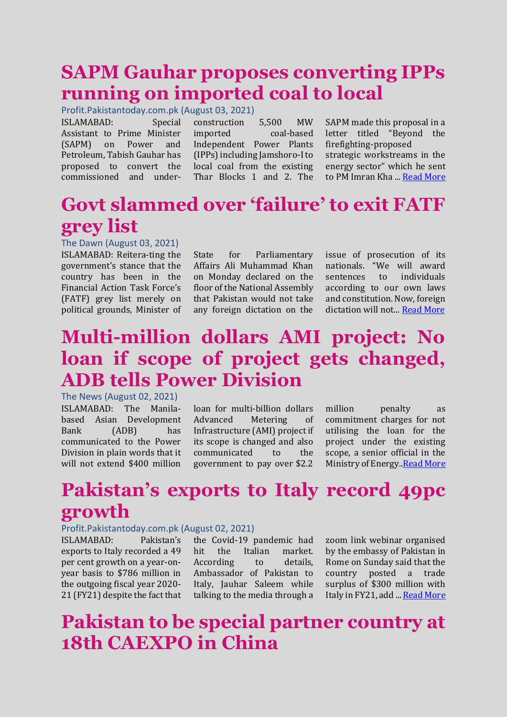# **SAPM Gauhar proposes converting IPPs running on imported coal to local**

Profit.Pakistantoday.com.pk (August 03, 2021)

ISLAMABAD: Special Assistant to Prime Minister (SAPM) on Power and Petroleum, Tabish Gauhar has proposed to convert the commissioned and underconstruction 5,500 MW imported coal-based Independent Power Plants (IPPs) including Jamshoro-I to local coal from the existing Thar Blocks 1 and 2. The

SAPM made this proposal in a letter titled "Beyond the firefighting-proposed strategic workstreams in the energy sector" which he sent to PM Imran Kha ... [Read More](https://profit.pakistantoday.com.pk/2021/08/03/sapm-gauhar-proposes-converting-ipps-running-on-imported-coal-to-local/)

# **Govt slammed over 'failure' to exit FATF grey list**

### The Dawn (August 03, 2021)

ISLAMABAD: Reitera-ting the government's stance that the country has been in the Financial Action Task Force's (FATF) grey list merely on political grounds, Minister of

State for Parliamentary Affairs Ali Muhammad Khan on Monday declared on the floor of the National Assembly that Pakistan would not take any foreign dictation on the issue of prosecution of its nationals. "We will award sentences to individuals according to our own laws and constitution. Now, foreign dictation will not... [Read More](https://www.dawn.com/news/1638437)

# **Multi-million dollars AMI project: No loan if scope of project gets changed, ADB tells Power Division**

The News (August 02, 2021) ISLAMABAD: The Manilabased Asian Development Bank (ADB) has communicated to the Power Division in plain words that it will not extend \$400 million

loan for multi-billion dollars Advanced Metering of Infrastructure (AMI) project if its scope is changed and also communicated to the government to pay over \$2.2 million penalty as commitment charges for not utilising the loan for the project under the existing scope, a senior official in the Ministry of Energy[..Read More](https://www.thenews.com.pk/print/872081-multi-million-dollars-ami-project-no-loan-if-scope-of-project-gets-changed-adb-tells-power-division)

# **Pakistan's exports to Italy record 49pc growth**

#### Profit.Pakistantoday.com.pk (August 02, 2021)

ISLAMABAD: Pakistan's exports to Italy recorded a 49 per cent growth on a year-onyear basis to \$786 million in the outgoing fiscal year 2020- 21 (FY21) despite the fact that

the Covid-19 pandemic had hit the Italian market. According to details, Ambassador of Pakistan to Italy, Jauhar Saleem while talking to the media through a

zoom link webinar organised by the embassy of Pakistan in Rome on Sunday said that the country posted a trade surplus of \$300 million with Italy in FY21, add ... [Read More](https://profit.pakistantoday.com.pk/2021/08/02/pakistans-exports-to-italy-record-49pc-growth/)

# **Pakistan to be special partner country at 18th CAEXPO in China**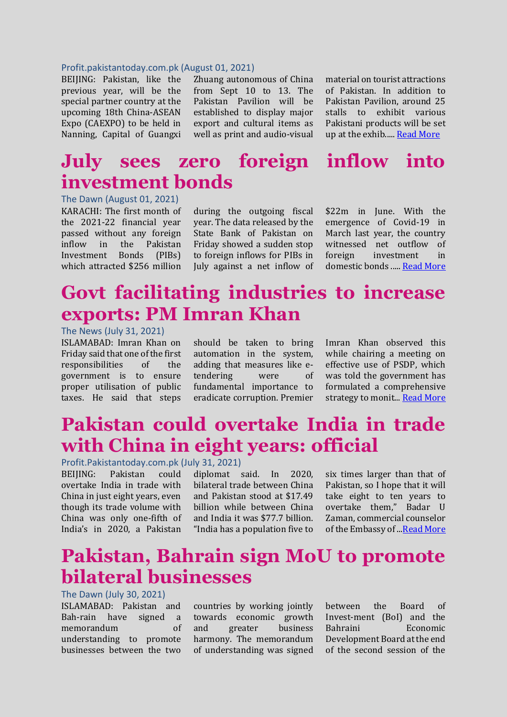#### Profit.pakistantoday.com.pk (August 01, 2021)

BEIJING: Pakistan, like the previous year, will be the special partner country at the upcoming 18th China-ASEAN Expo (CAEXPO) to be held in Nanning, Capital of Guangxi Zhuang autonomous of China from Sept 10 to 13. The Pakistan Pavilion will be established to display major export and cultural items as well as print and audio-visual material on tourist attractions of Pakistan. In addition to Pakistan Pavilion, around 25 stalls to exhibit various Pakistani products will be set up at the exhib..... [Read More](https://profit.pakistantoday.com.pk/2021/08/01/pakistan-to-be-special-partner-country-at-18th-caexpo-in-china/)

# **July sees zero foreign inflow into investment bonds**

The Dawn (August 01, 2021) KARACHI: The first month of the 2021-22 financial year passed without any foreign inflow in the Pakistan Investment Bonds (PIBs) which attracted \$256 million

during the outgoing fiscal year. The data released by the State Bank of Pakistan on Friday showed a sudden stop to foreign inflows for PIBs in July against a net inflow of \$22m in June. With the emergence of Covid-19 in March last year, the country witnessed net outflow of foreign investment in domestic bonds ....[. Read More](https://www.dawn.com/news/1638097)

### **Govt facilitating industries to increase exports: PM Imran Khan**

### The News (July 31, 2021)

ISLAMABAD: Imran Khan on Friday said that one of the first responsibilities of the government is to ensure proper utilisation of public taxes. He said that steps should be taken to bring automation in the system, adding that measures like etendering were of fundamental importance to eradicate corruption. Premier

Imran Khan observed this while chairing a meeting on effective use of PSDP, which was told the government has formulated a comprehensive strategy to monit... [Read More](https://www.thenews.com.pk/print/871242-govt-facilitating-industries-to-increase-exports-pm)

# **Pakistan could overtake India in trade with China in eight years: official**

### Profit.Pakistantoday.com.pk (July 31, 2021)

BEIJING: Pakistan could overtake India in trade with China in just eight years, even though its trade volume with China was only one-fifth of India's in 2020, a Pakistan

diplomat said. In 2020, bilateral trade between China and Pakistan stood at \$17.49 billion while between China and India it was \$77.7 billion. "India has a population five to six times larger than that of Pakistan, so I hope that it will take eight to ten years to overtake them," Badar U Zaman, commercial counselor of the Embassy of ..[.Read More](https://profit.pakistantoday.com.pk/2021/07/31/pakistan-could-overtake-india-in-trade-with-china-in-eight-years-official/)

### **Pakistan, Bahrain sign MoU to promote bilateral businesses**

#### The Dawn (July 30, 2021)

ISLAMABAD: Pakistan and Bah-rain have signed a memorandum of understanding to promote businesses between the two

countries by working jointly towards economic growth and greater business harmony. The memorandum of understanding was signed

between the Board of Invest-ment (BoI) and the Bahraini Economic Development Board at the end of the second session of the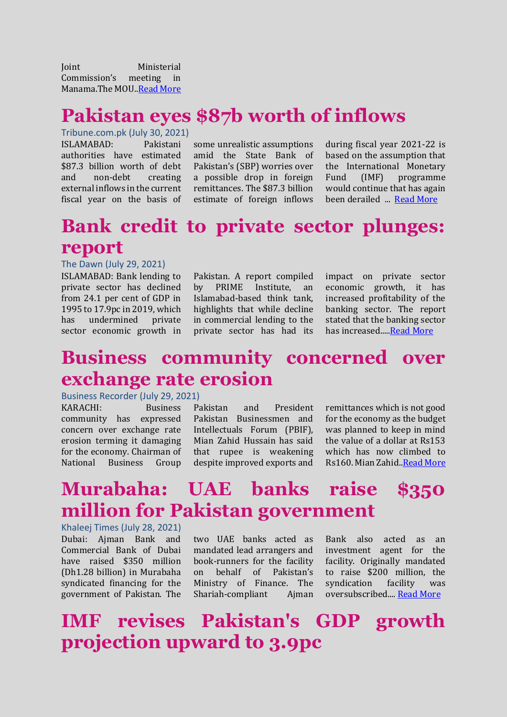Joint Ministerial Commission's meeting in Manama.The MOU[..Read More](https://www.dawn.com/news/1637717)

# **Pakistan eyes \$87b worth of inflows**

Tribune.com.pk (July 30, 2021)

ISLAMABAD: Pakistani authorities have estimated \$87.3 billion worth of debt and non-debt creating external inflows in the current fiscal year on the basis of some unrealistic assumptions amid the State Bank of Pakistan's (SBP) worries over a possible drop in foreign remittances. The \$87.3 billion estimate of foreign inflows during fiscal year 2021-22 is based on the assumption that the International Monetary Fund (IMF) programme would continue that has again been derailed ... [Read More](https://tribune.com.pk/story/2312871/pakistan-eyes-87b-worth-of-inflows)

# **Bank credit to private sector plunges: report**

#### The Dawn (July 29, 2021)

ISLAMABAD: Bank lending to private sector has declined from 24.1 per cent of GDP in 1995 to 17.9pc in 2019, which has undermined private sector economic growth in

Pakistan. A report compiled by PRIME Institute, an Islamabad-based think tank, highlights that while decline in commercial lending to the private sector has had its

impact on private sector economic growth, it has increased profitability of the banking sector. The report stated that the banking sector has increased.... Read More

### **Business community concerned over exchange rate erosion**

#### Business Recorder (July 29, 2021)

KARACHI: Business community has expressed concern over exchange rate erosion terming it damaging for the economy. Chairman of National Business Group

Pakistan and President Pakistan Businessmen and Intellectuals Forum (PBIF), Mian Zahid Hussain has said that rupee is weakening despite improved exports and remittances which is not good for the economy as the budget was planned to keep in mind the value of a dollar at Rs153 which has now climbed to Rs160. Mian Zahid.[.Read More](https://www.brecorder.com/news/40109775/business-community-concerned-over-exchange-rate-erosion)

# **Murabaha: UAE banks raise \$350 million for Pakistan government**

Khaleej Times (July 28, 2021) Dubai: Ajman Bank and Commercial Bank of Dubai have raised \$350 million (Dh1.28 billion) in Murabaha syndicated financing for the government of Pakistan. The

two UAE banks acted as mandated lead arrangers and book-runners for the facility on behalf of Pakistan's Ministry of Finance. The Shariah-compliant Ajman

Bank also acted as an investment agent for the facility. Originally mandated to raise \$200 million, the syndication facility was oversubscribed.... [Read More](https://www.khaleejtimes.com/business/banking-finance/murabaha-uae-banks-raise-350-million-for-pakistan-government)

# **IMF revises Pakistan's GDP growth projection upward to 3.9pc**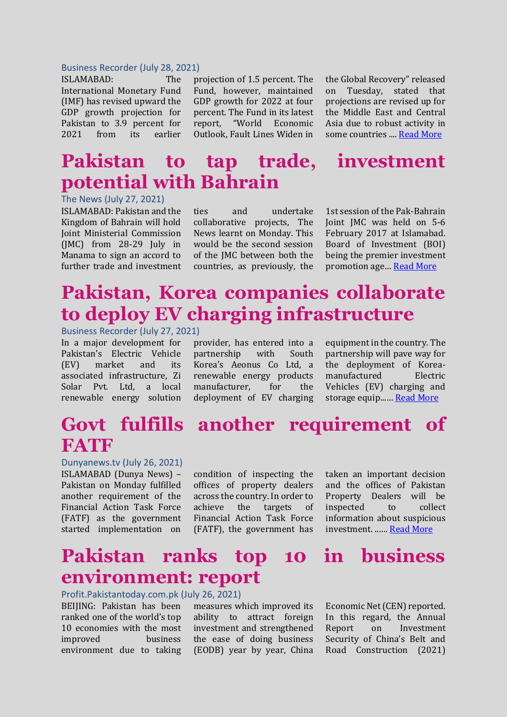#### Business Recorder (July 28, 2021)

ISLAMABAD: The International Monetary Fund (IMF) has revised upward the GDP growth projection for Pakistan to 3.9 percent for 2021 from its earlier projection of 1.5 percent. The Fund, however, maintained GDP growth for 2022 at four percent. The Fund in its latest report, "World Economic Outlook, Fault Lines Widen in the Global Recovery" released on Tuesday, stated that projections are revised up for the Middle East and Central Asia due to robust activity in some countries ...[. Read More](https://www.brecorder.com/news/40109572)

### **Pakistan to tap trade, investment potential with Bahrain**

The News (July 27, 2021)

ISLAMABAD: Pakistan and the Kingdom of Bahrain will hold Joint Ministerial Commission (JMC) from 28-29 July in Manama to sign an accord to further trade and investment ties and undertake collaborative projects, The News learnt on Monday. This would be the second session of the JMC between both the countries, as previously, the 1st session of the Pak-Bahrain Joint JMC was held on 5-6 February 2017 at Islamabad. Board of Investment (BOI) being the premier investment promotion age… [Read More](https://www.thenews.com.pk/print/869069-pakistan-to-tap-trade-investment-potential-with-bahrain)

# **Pakistan, Korea companies collaborate to deploy EV charging infrastructure**

Business Recorder (July 27, 2021)

In a major development for Pakistan's Electric Vehicle (EV) market and its associated infrastructure, Zi Solar Pvt. Ltd, a local renewable energy solution provider, has entered into a partnership with South Korea's Aeonus Co Ltd, a renewable energy products manufacturer, for the deployment of EV charging

equipment in the country. The partnership will pave way for the deployment of Koreamanufactured Electric Vehicles (EV) charging and storage equip..... **[Read More](https://www.brecorder.com/news/40109369)** 

### **Govt fulfills another requirement of FATF**

#### Dunyanews.tv (July 26, 2021)

ISLAMABAD (Dunya News) – Pakistan on Monday fulfilled another requirement of the Financial Action Task Force (FATF) as the government started implementation on

condition of inspecting the offices of property dealers across the country. In order to achieve the targets of Financial Action Task Force (FATF), the government has

taken an important decision and the offices of Pakistan Property Dealers will be inspected to collect information about suspicious investment. ..…. [Read More](https://dunyanews.tv/en/Pakistan/612129-Govt-fulfills-another-requirement-of-FATF-)

### **Pakistan ranks top 10 in business environment: report**

Profit.Pakistantoday.com.pk (July 26, 2021)

BEIJING: Pakistan has been ranked one of the world's top 10 economies with the most improved business environment due to taking

measures which improved its ability to attract foreign investment and strengthened the ease of doing business (EODB) year by year, China

Economic Net (CEN) reported. In this regard, the Annual Report on Investment Security of China's Belt and Road Construction (2021)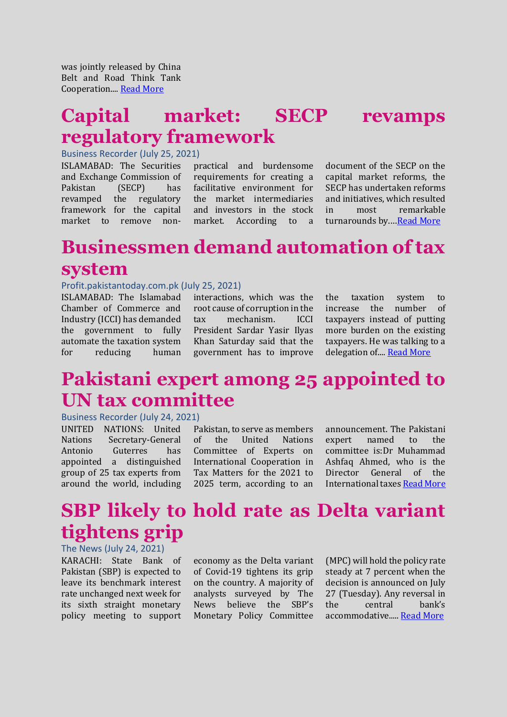was jointly released by China Belt and Road Think Tank Cooperation...[. Read More](https://profit.pakistantoday.com.pk/2021/07/26/pakistan-ranks-top-10-in-business-environment-report/)

### **Capital market: SECP revamps regulatory framework**

Business Recorder (July 25, 2021)

ISLAMABAD: The Securities and Exchange Commission of Pakistan (SECP) has revamped the regulatory framework for the capital market to remove nonpractical and burdensome requirements for creating a facilitative environment for the market intermediaries and investors in the stock market. According to a

document of the SECP on the capital market reforms, the SECP has undertaken reforms and initiatives, which resulted in most remarkable turnarounds by.…[Read More](https://www.brecorder.com/news/40108861)

# **Businessmen demand automation of tax system**

#### Profit.pakistantoday.com.pk (July 25, 2021)

ISLAMABAD: The Islamabad Chamber of Commerce and Industry (ICCI) has demanded the government to fully automate the taxation system for reducing human interactions, which was the root cause of corruption in the tax mechanism. ICCI President Sardar Yasir Ilyas Khan Saturday said that the government has to improve

the taxation system to increase the number of taxpayers instead of putting more burden on the existing taxpayers. He was talking to a delegation of.... [Read More](https://profit.pakistantoday.com.pk/2021/07/25/businessmen-demand-businessmen-demand-automation-of-tax-system-system/)

### **Pakistani expert among 25 appointed to UN tax committee**

#### Business Recorder (July 24, 2021)

UNITED NATIONS: United Nations Secretary-General Antonio Guterres has appointed a distinguished group of 25 tax experts from around the world, including

Pakistan, to serve as members of the United Nations Committee of Experts on International Cooperation in Tax Matters for the 2021 to 2025 term, according to an

announcement. The Pakistani expert named to the committee is:Dr Muhammad Ashfaq Ahmed, who is the Director General of the International taxe[s Read More](https://www.brecorder.com/news/40108693)

# **SBP likely to hold rate as Delta variant tightens grip**

The News (July 24, 2021) KARACHI: State Bank of Pakistan (SBP) is expected to leave its benchmark interest rate unchanged next week for its sixth straight monetary policy meeting to support

economy as the Delta variant of Covid-19 tightens its grip on the country. A majority of analysts surveyed by The News believe the SBP's Monetary Policy Committee (MPC) will hold the policy rate steady at 7 percent when the decision is announced on July 27 (Tuesday). Any reversal in the central bank's accommodative....[. Read More](https://www.thenews.com.pk/print/867434-sbp-likely-to-hold-rate-as-delta-variant-tightens-grip)